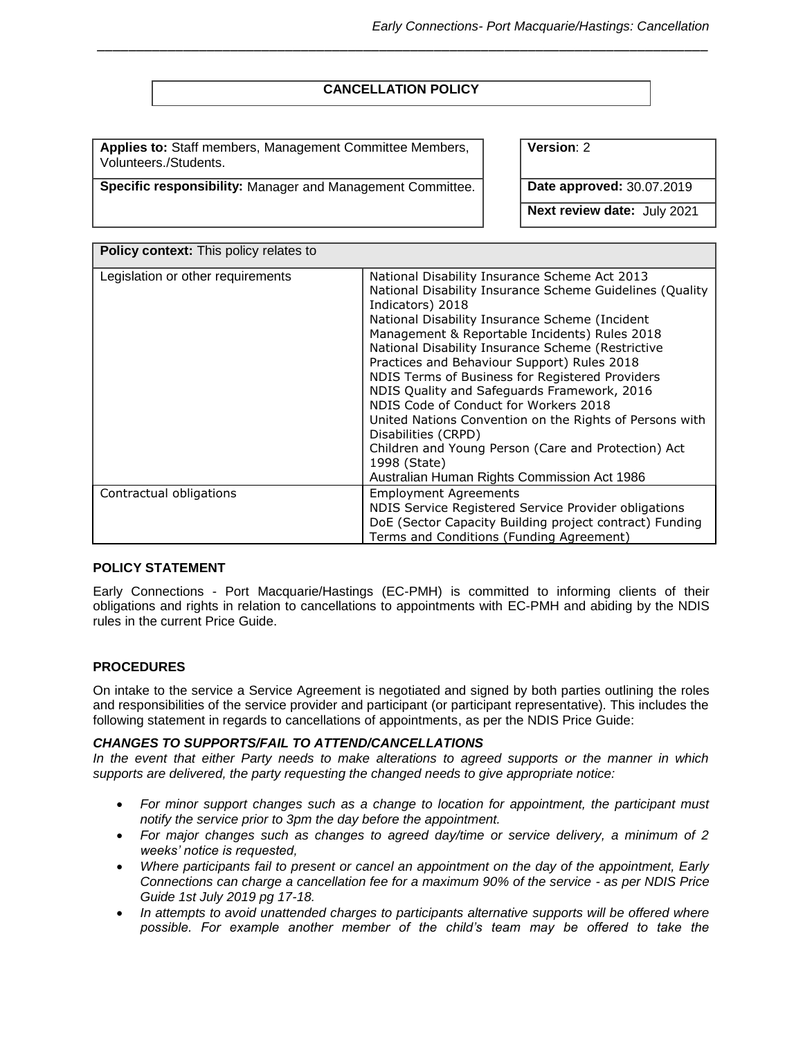# **CANCELLATION POLICY**

*\_\_\_\_\_\_\_\_\_\_\_\_\_\_\_\_\_\_\_\_\_\_\_\_\_\_\_\_\_\_\_\_\_\_\_\_\_\_\_\_\_\_\_\_\_\_\_\_\_\_\_\_\_\_\_\_\_\_\_\_\_\_\_\_\_\_\_\_\_\_\_\_\_\_\_\_\_\_* 

**Applies to:** Staff members, Management Committee Members, Volunteers./Students.

**Specific responsibility:** Manager and Management Committee. **Date approved:** 30.07.2019

**Version**: 2

**Next review date:** July 2021

| Policy context: This policy relates to |                                                                                                                                                                                                                                                                                                                                                                                                                                                                                                                                                                                                                                                                                         |  |  |  |
|----------------------------------------|-----------------------------------------------------------------------------------------------------------------------------------------------------------------------------------------------------------------------------------------------------------------------------------------------------------------------------------------------------------------------------------------------------------------------------------------------------------------------------------------------------------------------------------------------------------------------------------------------------------------------------------------------------------------------------------------|--|--|--|
| Legislation or other requirements      | National Disability Insurance Scheme Act 2013<br>National Disability Insurance Scheme Guidelines (Quality<br>Indicators) 2018<br>National Disability Insurance Scheme (Incident<br>Management & Reportable Incidents) Rules 2018<br>National Disability Insurance Scheme (Restrictive<br>Practices and Behaviour Support) Rules 2018<br>NDIS Terms of Business for Registered Providers<br>NDIS Quality and Safeguards Framework, 2016<br>NDIS Code of Conduct for Workers 2018<br>United Nations Convention on the Rights of Persons with<br>Disabilities (CRPD)<br>Children and Young Person (Care and Protection) Act<br>1998 (State)<br>Australian Human Rights Commission Act 1986 |  |  |  |
| Contractual obligations                | <b>Employment Agreements</b><br>NDIS Service Registered Service Provider obligations<br>DoE (Sector Capacity Building project contract) Funding<br>Terms and Conditions (Funding Agreement)                                                                                                                                                                                                                                                                                                                                                                                                                                                                                             |  |  |  |

### **POLICY STATEMENT**

Early Connections - Port Macquarie/Hastings (EC-PMH) is committed to informing clients of their obligations and rights in relation to cancellations to appointments with EC-PMH and abiding by the NDIS rules in the current Price Guide.

## **PROCEDURES**

On intake to the service a Service Agreement is negotiated and signed by both parties outlining the roles and responsibilities of the service provider and participant (or participant representative). This includes the following statement in regards to cancellations of appointments, as per the NDIS Price Guide:

## *CHANGES TO SUPPORTS/FAIL TO ATTEND/CANCELLATIONS*

*In the event that either Party needs to make alterations to agreed supports or the manner in which supports are delivered, the party requesting the changed needs to give appropriate notice:* 

- *For minor support changes such as a change to location for appointment, the participant must notify the service prior to 3pm the day before the appointment.*
- *For major changes such as changes to agreed day/time or service delivery, a minimum of 2 weeks' notice is requested,*
- *Where participants fail to present or cancel an appointment on the day of the appointment, Early Connections can charge a cancellation fee for a maximum 90% of the service - as per NDIS Price Guide 1st July 2019 pg 17-18.*
- In attempts to avoid unattended charges to participants alternative supports will be offered where *possible. For example another member of the child's team may be offered to take the*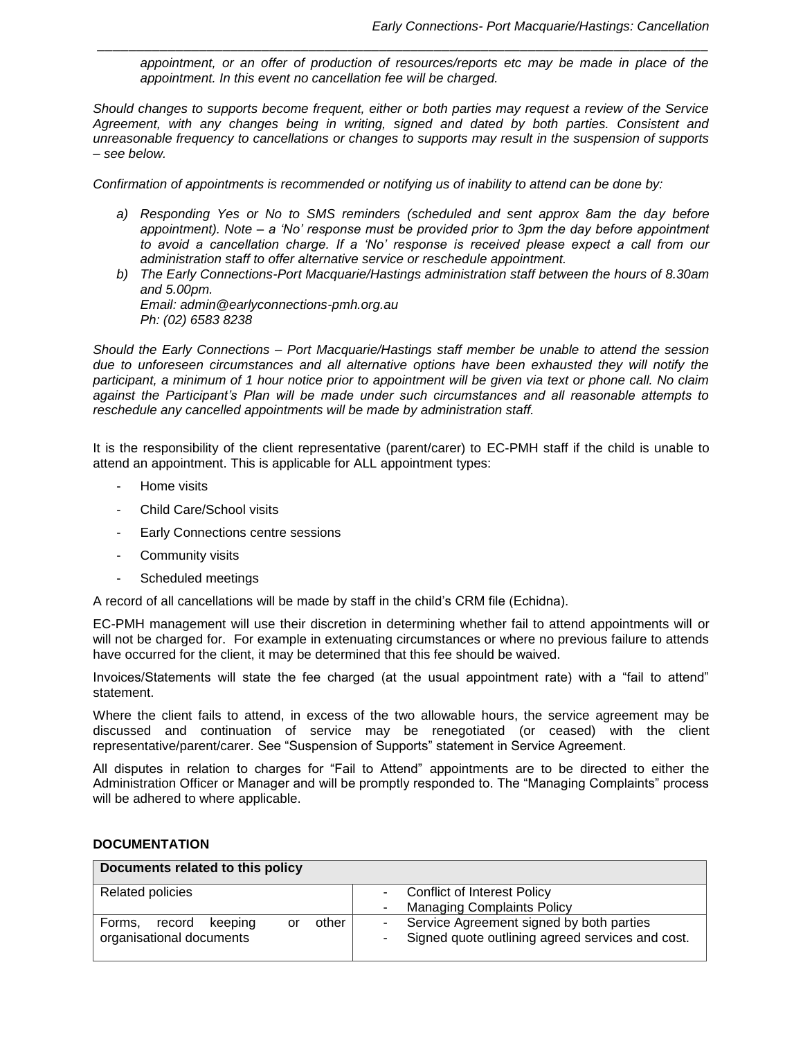*appointment, or an offer of production of resources/reports etc may be made in place of the appointment. In this event no cancellation fee will be charged.* 

*Should changes to supports become frequent, either or both parties may request a review of the Service Agreement, with any changes being in writing, signed and dated by both parties. Consistent and unreasonable frequency to cancellations or changes to supports may result in the suspension of supports – see below.* 

*\_\_\_\_\_\_\_\_\_\_\_\_\_\_\_\_\_\_\_\_\_\_\_\_\_\_\_\_\_\_\_\_\_\_\_\_\_\_\_\_\_\_\_\_\_\_\_\_\_\_\_\_\_\_\_\_\_\_\_\_\_\_\_\_\_\_\_\_\_\_\_\_\_\_\_\_\_\_* 

*Confirmation of appointments is recommended or notifying us of inability to attend can be done by:* 

- *a) Responding Yes or No to SMS reminders (scheduled and sent approx 8am the day before appointment). Note – a 'No' response must be provided prior to 3pm the day before appointment to avoid a cancellation charge. If a 'No' response is received please expect a call from our administration staff to offer alternative service or reschedule appointment.*
- *b) The Early Connections-Port Macquarie/Hastings administration staff between the hours of 8.30am and 5.00pm. Email: admin@earlyconnections-pmh.org.au Ph: (02) 6583 8238*

*Should the Early Connections – Port Macquarie/Hastings staff member be unable to attend the session due to unforeseen circumstances and all alternative options have been exhausted they will notify the participant, a minimum of 1 hour notice prior to appointment will be given via text or phone call. No claim against the Participant's Plan will be made under such circumstances and all reasonable attempts to reschedule any cancelled appointments will be made by administration staff.* 

It is the responsibility of the client representative (parent/carer) to EC-PMH staff if the child is unable to attend an appointment. This is applicable for ALL appointment types:

- Home visits
- Child Care/School visits
- Early Connections centre sessions
- Community visits
- Scheduled meetings

A record of all cancellations will be made by staff in the child's CRM file (Echidna).

EC-PMH management will use their discretion in determining whether fail to attend appointments will or will not be charged for. For example in extenuating circumstances or where no previous failure to attends have occurred for the client, it may be determined that this fee should be waived.

Invoices/Statements will state the fee charged (at the usual appointment rate) with a "fail to attend" statement.

Where the client fails to attend, in excess of the two allowable hours, the service agreement may be discussed and continuation of service may be renegotiated (or ceased) with the client representative/parent/carer. See "Suspension of Supports" statement in Service Agreement.

All disputes in relation to charges for "Fail to Attend" appointments are to be directed to either the Administration Officer or Manager and will be promptly responded to. The "Managing Complaints" process will be adhered to where applicable.

### **DOCUMENTATION**

| Documents related to this policy           |                                                            |  |  |  |  |
|--------------------------------------------|------------------------------------------------------------|--|--|--|--|
| <b>Related policies</b>                    | Conflict of Interest Policy<br>٠                           |  |  |  |  |
|                                            | <b>Managing Complaints Policy</b><br>۰                     |  |  |  |  |
| other<br>record<br>Forms.<br>keeping<br>or | Service Agreement signed by both parties<br>۰.             |  |  |  |  |
| organisational documents                   | Signed quote outlining agreed services and cost.<br>$\sim$ |  |  |  |  |
|                                            |                                                            |  |  |  |  |